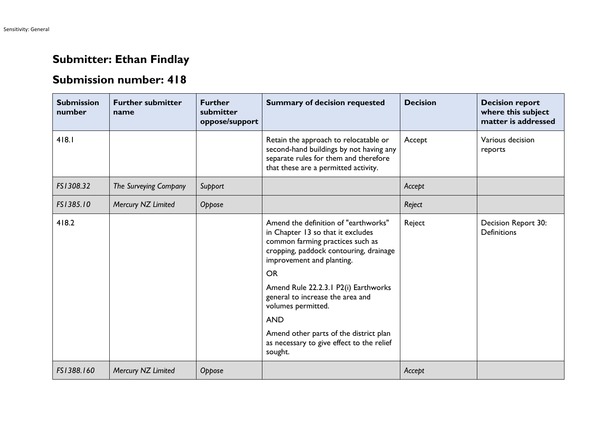## **Submitter: Ethan Findlay**

## **Submission number: 418**

| <b>Submission</b><br>number | <b>Further submitter</b><br>name | <b>Further</b><br>submitter<br>oppose/support | <b>Summary of decision requested</b>                                                                                                                                                                                                                                                                                                                        | <b>Decision</b> | <b>Decision report</b><br>where this subject<br>matter is addressed |
|-----------------------------|----------------------------------|-----------------------------------------------|-------------------------------------------------------------------------------------------------------------------------------------------------------------------------------------------------------------------------------------------------------------------------------------------------------------------------------------------------------------|-----------------|---------------------------------------------------------------------|
| 418.1                       |                                  |                                               | Retain the approach to relocatable or<br>second-hand buildings by not having any<br>separate rules for them and therefore<br>that these are a permitted activity.                                                                                                                                                                                           | Accept          | Various decision<br>reports                                         |
| FS1308.32                   | The Surveying Company            | Support                                       |                                                                                                                                                                                                                                                                                                                                                             | Accept          |                                                                     |
| FS1385.10                   | Mercury NZ Limited               | Oppose                                        |                                                                                                                                                                                                                                                                                                                                                             | Reject          |                                                                     |
| 418.2                       |                                  |                                               | Amend the definition of "earthworks"<br>in Chapter 13 so that it excludes<br>common farming practices such as<br>cropping, paddock contouring, drainage<br>improvement and planting.<br><b>OR</b><br>Amend Rule 22.2.3.1 P2(i) Earthworks<br>general to increase the area and<br>volumes permitted.<br><b>AND</b><br>Amend other parts of the district plan | Reject          | Decision Report 30:<br><b>Definitions</b>                           |
|                             |                                  |                                               | as necessary to give effect to the relief<br>sought.                                                                                                                                                                                                                                                                                                        |                 |                                                                     |
| FS1388.160                  | Mercury NZ Limited               | Oppose                                        |                                                                                                                                                                                                                                                                                                                                                             | Accept          |                                                                     |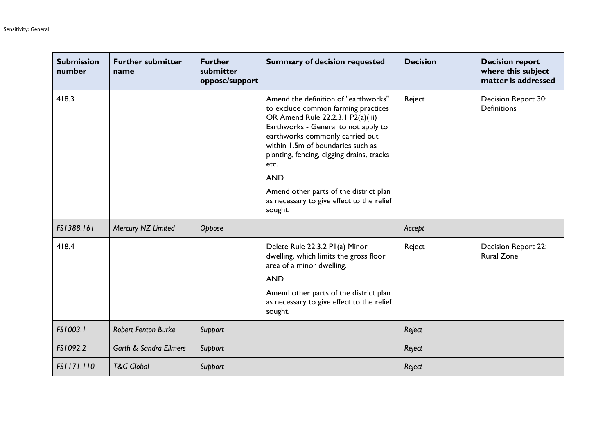| <b>Submission</b><br>number | <b>Further submitter</b><br>name  | <b>Further</b><br>submitter<br>oppose/support | <b>Summary of decision requested</b>                                                                                                                                                                                                                                                                                                                                                                  | <b>Decision</b> | <b>Decision report</b><br>where this subject<br>matter is addressed |
|-----------------------------|-----------------------------------|-----------------------------------------------|-------------------------------------------------------------------------------------------------------------------------------------------------------------------------------------------------------------------------------------------------------------------------------------------------------------------------------------------------------------------------------------------------------|-----------------|---------------------------------------------------------------------|
| 418.3                       |                                   |                                               | Amend the definition of "earthworks"<br>to exclude common farming practices<br>OR Amend Rule 22.2.3.1 P2(a)(iii)<br>Earthworks - General to not apply to<br>earthworks commonly carried out<br>within 1.5m of boundaries such as<br>planting, fencing, digging drains, tracks<br>etc.<br><b>AND</b><br>Amend other parts of the district plan<br>as necessary to give effect to the relief<br>sought. | Reject          | Decision Report 30:<br><b>Definitions</b>                           |
| FS1388.161                  | Mercury NZ Limited                | Oppose                                        |                                                                                                                                                                                                                                                                                                                                                                                                       | Accept          |                                                                     |
| 418.4                       |                                   |                                               | Delete Rule 22.3.2 PI(a) Minor<br>dwelling, which limits the gross floor<br>area of a minor dwelling.<br><b>AND</b><br>Amend other parts of the district plan<br>as necessary to give effect to the relief<br>sought.                                                                                                                                                                                 | Reject          | Decision Report 22:<br><b>Rural Zone</b>                            |
| FS1003.1                    | <b>Robert Fenton Burke</b>        | Support                                       |                                                                                                                                                                                                                                                                                                                                                                                                       | Reject          |                                                                     |
| FS1092.2                    | <b>Garth &amp; Sandra Ellmers</b> | Support                                       |                                                                                                                                                                                                                                                                                                                                                                                                       | Reject          |                                                                     |
| FS1171.110                  | <b>T&amp;G Global</b>             | Support                                       |                                                                                                                                                                                                                                                                                                                                                                                                       | Reject          |                                                                     |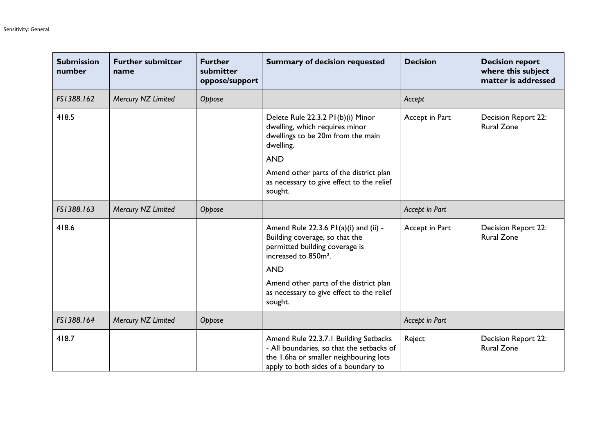| <b>Submission</b><br>number | <b>Further submitter</b><br>name | <b>Further</b><br>submitter<br>oppose/support | <b>Summary of decision requested</b>                                                                                                                                 | <b>Decision</b> | <b>Decision report</b><br>where this subject<br>matter is addressed |
|-----------------------------|----------------------------------|-----------------------------------------------|----------------------------------------------------------------------------------------------------------------------------------------------------------------------|-----------------|---------------------------------------------------------------------|
| FS1388.162                  | Mercury NZ Limited               | Oppose                                        |                                                                                                                                                                      | Accept          |                                                                     |
| 418.5                       |                                  |                                               | Delete Rule 22.3.2 PI(b)(i) Minor<br>dwelling, which requires minor<br>dwellings to be 20m from the main<br>dwelling.<br><b>AND</b>                                  | Accept in Part  | <b>Decision Report 22:</b><br><b>Rural Zone</b>                     |
|                             |                                  |                                               | Amend other parts of the district plan<br>as necessary to give effect to the relief<br>sought.                                                                       |                 |                                                                     |
| FS1388.163                  | Mercury NZ Limited               | Oppose                                        |                                                                                                                                                                      | Accept in Part  |                                                                     |
| 418.6                       |                                  |                                               | Amend Rule 22.3.6 PI(a)(i) and (ii) -<br>Building coverage, so that the<br>permitted building coverage is<br>increased to 850m <sup>2</sup> .<br><b>AND</b>          | Accept in Part  | Decision Report 22:<br><b>Rural Zone</b>                            |
|                             |                                  |                                               | Amend other parts of the district plan<br>as necessary to give effect to the relief<br>sought.                                                                       |                 |                                                                     |
| FS1388.164                  | Mercury NZ Limited               | Oppose                                        |                                                                                                                                                                      | Accept in Part  |                                                                     |
| 418.7                       |                                  |                                               | Amend Rule 22.3.7.1 Building Setbacks<br>- All boundaries, so that the setbacks of<br>the 1.6ha or smaller neighbouring lots<br>apply to both sides of a boundary to | Reject          | Decision Report 22:<br><b>Rural Zone</b>                            |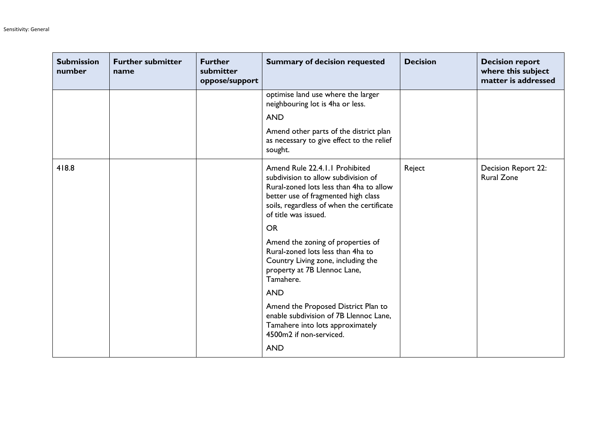| <b>Submission</b><br>number | <b>Further submitter</b><br>name | <b>Further</b><br>submitter<br>oppose/support | <b>Summary of decision requested</b>                                                                                                                                                                                         | <b>Decision</b> | <b>Decision report</b><br>where this subject<br>matter is addressed |
|-----------------------------|----------------------------------|-----------------------------------------------|------------------------------------------------------------------------------------------------------------------------------------------------------------------------------------------------------------------------------|-----------------|---------------------------------------------------------------------|
|                             |                                  |                                               | optimise land use where the larger<br>neighbouring lot is 4ha or less.                                                                                                                                                       |                 |                                                                     |
|                             |                                  |                                               | <b>AND</b>                                                                                                                                                                                                                   |                 |                                                                     |
|                             |                                  |                                               | Amend other parts of the district plan<br>as necessary to give effect to the relief<br>sought.                                                                                                                               |                 |                                                                     |
| 418.8                       |                                  |                                               | Amend Rule 22.4.1.1 Prohibited<br>subdivision to allow subdivision of<br>Rural-zoned lots less than 4ha to allow<br>better use of fragmented high class<br>soils, regardless of when the certificate<br>of title was issued. | Reject          | Decision Report 22:<br><b>Rural Zone</b>                            |
|                             |                                  |                                               | <b>OR</b>                                                                                                                                                                                                                    |                 |                                                                     |
|                             |                                  |                                               | Amend the zoning of properties of<br>Rural-zoned lots less than 4ha to<br>Country Living zone, including the<br>property at 7B Llennoc Lane,<br>Tamahere.                                                                    |                 |                                                                     |
|                             |                                  |                                               | <b>AND</b>                                                                                                                                                                                                                   |                 |                                                                     |
|                             |                                  |                                               | Amend the Proposed District Plan to<br>enable subdivision of 7B Llennoc Lane,<br>Tamahere into lots approximately<br>4500m2 if non-serviced.                                                                                 |                 |                                                                     |
|                             |                                  |                                               | <b>AND</b>                                                                                                                                                                                                                   |                 |                                                                     |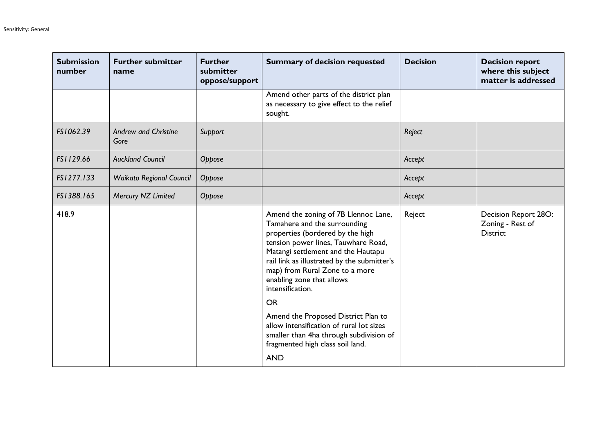| <b>Submission</b><br>number | <b>Further submitter</b><br>name    | <b>Further</b><br>submitter<br>oppose/support | <b>Summary of decision requested</b>                                                                                                                                                                                                                                                                                    | <b>Decision</b> | <b>Decision report</b><br>where this subject<br>matter is addressed |
|-----------------------------|-------------------------------------|-----------------------------------------------|-------------------------------------------------------------------------------------------------------------------------------------------------------------------------------------------------------------------------------------------------------------------------------------------------------------------------|-----------------|---------------------------------------------------------------------|
|                             |                                     |                                               | Amend other parts of the district plan<br>as necessary to give effect to the relief<br>sought.                                                                                                                                                                                                                          |                 |                                                                     |
| FS1062.39                   | <b>Andrew and Christine</b><br>Gore | Support                                       |                                                                                                                                                                                                                                                                                                                         | Reject          |                                                                     |
| FS1129.66                   | <b>Auckland Council</b>             | Oppose                                        |                                                                                                                                                                                                                                                                                                                         | Accept          |                                                                     |
| FS1277.133                  | <b>Waikato Regional Council</b>     | Oppose                                        |                                                                                                                                                                                                                                                                                                                         | Accept          |                                                                     |
| FS1388.165                  | Mercury NZ Limited                  | Oppose                                        |                                                                                                                                                                                                                                                                                                                         | Accept          |                                                                     |
| 418.9                       |                                     |                                               | Amend the zoning of 7B Llennoc Lane,<br>Tamahere and the surrounding<br>properties (bordered by the high<br>tension power lines, Tauwhare Road,<br>Matangi settlement and the Hautapu<br>rail link as illustrated by the submitter's<br>map) from Rural Zone to a more<br>enabling zone that allows<br>intensification. | Reject          | Decision Report 28O:<br>Zoning - Rest of<br><b>District</b>         |
|                             |                                     |                                               | <b>OR</b>                                                                                                                                                                                                                                                                                                               |                 |                                                                     |
|                             |                                     |                                               | Amend the Proposed District Plan to<br>allow intensification of rural lot sizes<br>smaller than 4ha through subdivision of<br>fragmented high class soil land.                                                                                                                                                          |                 |                                                                     |
|                             |                                     |                                               | <b>AND</b>                                                                                                                                                                                                                                                                                                              |                 |                                                                     |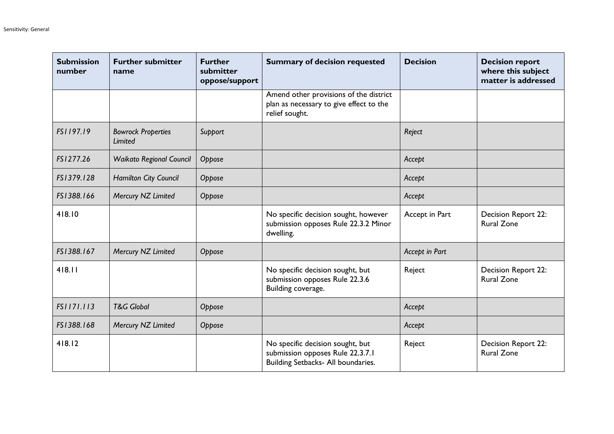| <b>Submission</b><br>number | <b>Further submitter</b><br>name     | <b>Further</b><br>submitter<br>oppose/support | <b>Summary of decision requested</b>                                                                       | <b>Decision</b> | <b>Decision report</b><br>where this subject<br>matter is addressed |
|-----------------------------|--------------------------------------|-----------------------------------------------|------------------------------------------------------------------------------------------------------------|-----------------|---------------------------------------------------------------------|
|                             |                                      |                                               | Amend other provisions of the district<br>plan as necessary to give effect to the<br>relief sought.        |                 |                                                                     |
| FS1197.19                   | <b>Bowrock Properties</b><br>Limited | Support                                       |                                                                                                            | Reject          |                                                                     |
| FS1277.26                   | <b>Waikato Regional Council</b>      | Oppose                                        |                                                                                                            | Accept          |                                                                     |
| FS1379.128                  | Hamilton City Council                | Oppose                                        |                                                                                                            | Accept          |                                                                     |
| FS1388.166                  | Mercury NZ Limited                   | Oppose                                        |                                                                                                            | Accept          |                                                                     |
| 418.10                      |                                      |                                               | No specific decision sought, however<br>submission opposes Rule 22.3.2 Minor<br>dwelling.                  | Accept in Part  | Decision Report 22:<br><b>Rural Zone</b>                            |
| FS1388.167                  | Mercury NZ Limited                   | Oppose                                        |                                                                                                            | Accept in Part  |                                                                     |
| 418.11                      |                                      |                                               | No specific decision sought, but<br>submission opposes Rule 22.3.6<br>Building coverage.                   | Reject          | Decision Report 22:<br><b>Rural Zone</b>                            |
| FS1171.113                  | <b>T&amp;G Global</b>                | Oppose                                        |                                                                                                            | Accept          |                                                                     |
| FS1388.168                  | Mercury NZ Limited                   | Oppose                                        |                                                                                                            | Accept          |                                                                     |
| 418.12                      |                                      |                                               | No specific decision sought, but<br>submission opposes Rule 22.3.7.1<br>Building Setbacks- All boundaries. | Reject          | <b>Decision Report 22:</b><br><b>Rural Zone</b>                     |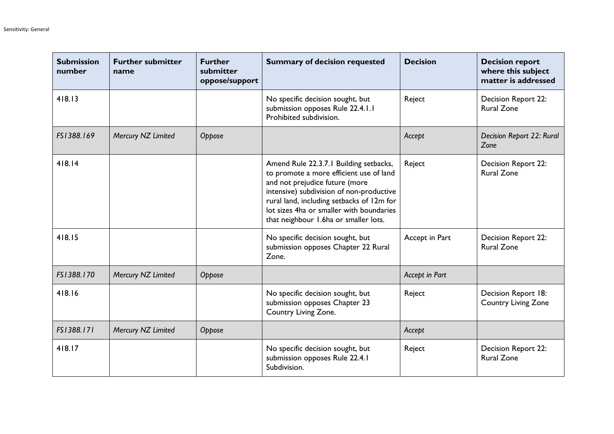| <b>Submission</b><br>number | <b>Further submitter</b><br>name | <b>Further</b><br>submitter<br>oppose/support | <b>Summary of decision requested</b>                                                                                                                                                                                                                                                              | <b>Decision</b> | <b>Decision report</b><br>where this subject<br>matter is addressed |
|-----------------------------|----------------------------------|-----------------------------------------------|---------------------------------------------------------------------------------------------------------------------------------------------------------------------------------------------------------------------------------------------------------------------------------------------------|-----------------|---------------------------------------------------------------------|
| 418.13                      |                                  |                                               | No specific decision sought, but<br>submission opposes Rule 22.4.1.1<br>Prohibited subdivision.                                                                                                                                                                                                   | Reject          | Decision Report 22:<br><b>Rural Zone</b>                            |
| FS1388.169                  | Mercury NZ Limited               | Oppose                                        |                                                                                                                                                                                                                                                                                                   | Accept          | Decision Report 22: Rural<br>Zone                                   |
| 418.14                      |                                  |                                               | Amend Rule 22.3.7.1 Building setbacks,<br>to promote a more efficient use of land<br>and not prejudice future (more<br>intensive) subdivision of non-productive<br>rural land, including setbacks of 12m for<br>lot sizes 4ha or smaller with boundaries<br>that neighbour 1.6ha or smaller lots. | Reject          | Decision Report 22:<br><b>Rural Zone</b>                            |
| 418.15                      |                                  |                                               | No specific decision sought, but<br>submission opposes Chapter 22 Rural<br>Zone.                                                                                                                                                                                                                  | Accept in Part  | Decision Report 22:<br><b>Rural Zone</b>                            |
| FS1388.170                  | Mercury NZ Limited               | Oppose                                        |                                                                                                                                                                                                                                                                                                   | Accept in Part  |                                                                     |
| 418.16                      |                                  |                                               | No specific decision sought, but<br>submission opposes Chapter 23<br>Country Living Zone.                                                                                                                                                                                                         | Reject          | Decision Report 18:<br><b>Country Living Zone</b>                   |
| FS1388.171                  | Mercury NZ Limited               | Oppose                                        |                                                                                                                                                                                                                                                                                                   | Accept          |                                                                     |
| 418.17                      |                                  |                                               | No specific decision sought, but<br>submission opposes Rule 22.4.1<br>Subdivision.                                                                                                                                                                                                                | Reject          | Decision Report 22:<br><b>Rural Zone</b>                            |